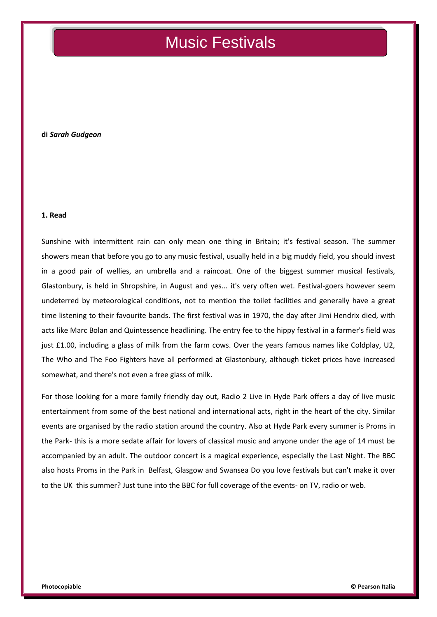# Music Festivals

#### **di** *Sarah Gudgeon*

#### **1. Read**

Sunshine with intermittent rain can only mean one thing in Britain; it's festival season. The summer showers mean that before you go to any music festival, usually held in a big muddy field, you should invest in a good pair of wellies, an umbrella and a raincoat. One of the biggest summer musical festivals, Glastonbury, is held in Shropshire, in August and yes... it's very often wet. Festival-goers however seem undeterred by meteorological conditions, not to mention the toilet facilities and generally have a great time listening to their favourite bands. The first festival was in 1970, the day after Jimi Hendrix died, with acts like Marc Bolan and Quintessence headlining. The entry fee to the hippy festival in a farmer's field was just £1.00, including a glass of milk from the farm cows. Over the years famous names like Coldplay, U2, The Who and The Foo Fighters have all performed at Glastonbury, although ticket prices have increased somewhat, and there's not even a free glass of milk.

For those looking for a more family friendly day out, Radio 2 Live in Hyde Park offers a day of live music entertainment from some of the best national and international acts, right in the heart of the city. Similar events are organised by the radio station around the country. Also at Hyde Park every summer is Proms in the Park- this is a more sedate affair for lovers of classical music and anyone under the age of 14 must be accompanied by an adult. The outdoor concert is a magical experience, especially the Last Night. The BBC also hosts Proms in the Park in Belfast, Glasgow and Swansea Do you love festivals but can't make it over to the UK this summer? Just tune into the BBC for full coverage of the events- on TV, radio or web.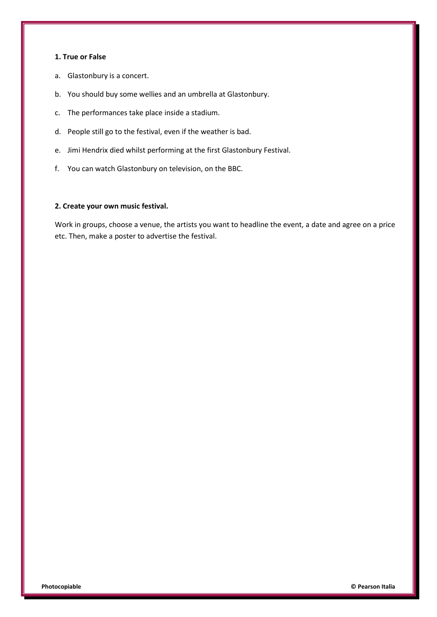## **1. True or False**

- a. Glastonbury is a concert.
- b. You should buy some wellies and an umbrella at Glastonbury.
- c. The performances take place inside a stadium.
- d. People still go to the festival, even if the weather is bad.
- e. Jimi Hendrix died whilst performing at the first Glastonbury Festival.
- f. You can watch Glastonbury on television, on the BBC.

## **2. Create your own music festival.**

Work in groups, choose a venue, the artists you want to headline the event, a date and agree on a price etc. Then, make a poster to advertise the festival.